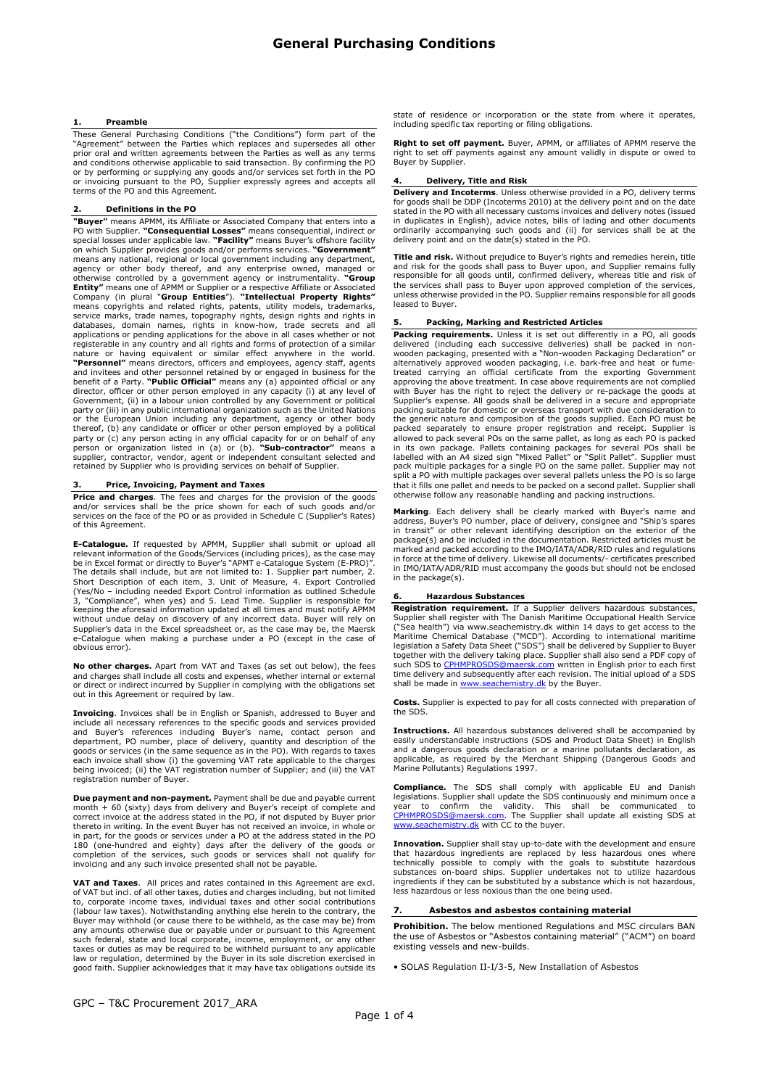#### **Preamble**

These General Purchasing Conditions ("the Conditions") form part of the<br>"Agreement" between the Parties which replaces and supersedes all other<br>prior oral and written agreements between the Parties as well as any terms and conditions otherwise applicable to said transaction. By confirming the PO or by performing or supplying any goods and/or services set forth in the PO or invoicing pursuant to the PO, Supplier expressly agrees and accepts all terms of the PO and this Agreement.

### Definitions in the PO

**"Buyer"** means APMM, its Affiliate or Associated Company that enters into a<br>PO with Supplier. **"Consequential Losses"** means consequential, indirect or<br>special losses under applicable law. **"Facility"** means Buyer's offsh on which Supplier provides goods and/or performs services. **"Government"**<br>means any national, regional or local government including any department,<br>agency or other body thereof, and any enterprise owned, managed or otherwise controlled by a government agency or instrumentality. **"Group**<br>**Entity"** means one of APMM or Supplier or a respective Affiliate or Associated<br>**Company** (in plural **"Group Entities"**). **"Intellectual Property Rig** registerable in any country and all rights and forms of protection of a similar nature or having equivalent or similar effect anywhere in the world.<br>"Personnel" means directors, officers and employees, agency staff, agents and invitees and other personnel retained by or engaged in business for the<br>benefit of a Party. **"Public Official"** means any (a) appointed official or any director, officer or other person employed in any capacity (i) at any level of<br>Government, (ii) in a labour union controlled by any Government or political<br>party or (iii) in any public international organization such as th or the European Union including any department, agency or other body thereof, (b) any candidate or officer or other person employed by a political party or (c) any person acting in any official capacity for or on behalf of any<br>person or organization listed in (a) or (b). "**Sub-contractor"** means a<br>supplier, contractor, vendor, agent or independent consultant selected

## 3. Price, Invoicing, Payment and Taxes

Price and charges. The fees and charges for the provision of the goods and/or services shall be the price shown for each of such goods and/or services on the face of the PO or as provided in Schedule C (Supplier's Rates) of this Agreement.

E-Catalogue. If requested by APMM, Supplier shall submit or upload all relevant information of the Goods/Services (including prices), as the case may be in Excel format or directly to Buyer's "APMT e-Catalogue System (E-PRO)". The details shall include, but are not limited to: 1. Supplier part number, 2.<br>Short Description of each item, 3. Unit of Measure, 4. Export Controlled<br>(Yes/No – including needed Export Control information as outlined Sche 3, "Compliance", when yes) and 5. Lead Time. Supplier is responsible for keeping the aforesaid information updated at all times and must notify APMM without undue delay on discovery of any incorrect data. Buyer will rely on Supplier's data in the Excel spreadsheet or, as the case may be, the Maersk e-Catalogue when making a purchase under a PO (except in the case of obvious error).

No other charges. Apart from VAT and Taxes (as set out below), the fees and charges shall include all costs and expenses, whether internal or external or direct or indirect incurred by Supplier in complying with the obligations set out in this Agreement or required by law.

**Invoicing**. Invoices shall be in English or Spanish, addressed to Buyer and<br>include all necessary references to the specific goods and services provided and Buyer's references including Buyer's name, contact person and department, PO number, place of delivery, quantity and description of the<br>goods or services (in the same sequence as in the PO). With regards to taxes<br>each invoice shall show (i) the governing VAT rate applicable to the ch registration number of Buyer.

Due payment and non-payment. Payment shall be due and payable current month + 60 (sixty) days from delivery and Buyer's receipt of complete and<br>correct invoice at the address stated in the PO, if not disputed by Buyer prior<br>thereto in writing. In the event Buyer has not received an invoice, in part, for the goods or services under a PO at the address stated in the PO<br>180 (one-hundred and eighty) days after the delivery of the goods or<br>completion of the services, such goods or services shall not qualify for<br>in

VAT and Taxes. All prices and rates contained in this Agreement are excl. of VAT but incl. of all other taxes, duties and charges including, but not limited to, corporate income taxes, individual taxes and other social contributions (labour law taxes). Notwithstanding anything else herein to the contrary, the Buyer may withhold (or cause there to be withheld, as the case may be) from any amounts otherwise due or payable under or pursuant to this Agreement such federal, state and local corporate, income, employment, or any other taxes or duties as may be required to be withheld pursuant to any applicable law or regulation, determined by the Buyer in its sole discretion exercised in good faith. Supplier acknowledges that it may have tax obligations outside its state of residence or incorporation or the state from where it operates, including specific tax reporting or filing obligations.

**Right to set off payment.** Buyer, APMM, or affiliates of APMM reserve the right to set off payments against any amount validly in dispute or owed to Buyer by Supplier.

#### 4. Delivery, Title and Risk

Delivery and Incoterms. Unless otherwise provided in a PO, delivery terms for goods shall be DDP (Incoterms 2010) at the delivery point and on the date stated in the PO with all necessary customs invoices and delivery notes (issued in duplicates in English), advice notes, bills of lading and other documents ordinarily accompanying such goods and (ii) for services shall be at the delivery point and on the date(s) stated in the PO.

Title and risk. Without prejudice to Buyer's rights and remedies herein, title and risk for the goods shall pass to Buyer upon, and Supplier remains fully responsible for all goods until, confirmed delivery, whereas title and risk of the services shall pass to Buyer upon approved completion of the services, unless otherwise provided in the PO. Supplier remains responsible for all goods leased to Buyer.

### 5. Packing, Marking and Restricted Articles

**Packing requirements.** Unless it is set out differently in a PO, all goods delivered (including each successive deliveries) shall be packed in non-wooden packaging, presented with a "Non-wooden Packaging Declaration" or alternatively approved wooden packaging, i.e. bark-free and heat or fumetreated carrying an official certificate from the exporting Government approving the above treatment. In case above requirements are not complied with Buyer has the right to reject the delivery or re-package the goods at<br>Supplier's expense. All goods shall be delivered in a secure and appropriate<br>packing suitable for domestic or overseas transport with due considera the generic nature and composition of the goods supplied. Each PO must be<br>packed separately to ensure proper registration and receipt. Supplier is<br>allowed to pack several POs on the same pallet, as long as each PO in its own package. Pallets containing packages for several POs shall be labelled with an A4 sized sign "Mixed Pallet" or "Split Pallet". Supplier must<br>pack multiple packages for a single PO on the same pallet. Supplier ma that it fills one pallet and needs to be packed on a second pallet. Supplier shall otherwise follow any reasonable handling and packing instructions.

Marking. Each delivery shall be clearly marked with Buyer's name and address, Buyer's PO number, place of delivery, consignee and "Ship's spares<br>in transit" or other relevant identifying description on the exterior of the<br>package(s) and be included in the documentation. Restricted articles in IMO/IATA/ADR/RID must accompany the goods but should not be enclosed in the package(s).

#### 6. Hazardous Substances

Registration requirement. If a Supplier delivers hazardous substances,<br>Supplier shall register with The Danish Maritime Occupational Health Service<br>("Sea health") via www.seachemistry.dk within 14 days to get access to the Maritime Chemical Database ("MCD"). According to international maritime<br>legislation a Safety Data Sheet ("SDS") shall be delivered by Supplier to Buyer<br>together with the delivery taking place. Supplier shall also send a PD time delivery and subsequently after each revision. The initial upload of a SDS<br>shall be made in www.seachemistry.dk by the Buyer. shall be made in www.seache

Costs. Supplier is expected to pay for all costs connected with preparation of the SDS.

Instructions. All hazardous substances delivered shall be accompanied by easily understandable instructions (SDS and Product Data Sheet) in English and a dangerous goods declaration or a marine pollutants declaration, as applicable, as required by the Merchant Shipping (Dangerous Goods and Marine Pollutants) Regulations 1997.

**Compliance.** The SDS shall comply with applicable EU and Danish legislations. Supplier shall update the SDS continuously and minimum once a year to confirm the validity. This shall be communicated to CPHMPROSDS@maersk.com www.seachemistry.dk with CC to the buyer.

**Innovation.** Supplier shall stay up-to-date with the development and ensure<br>that hazardous ingredients are replaced by less hazardous ones where<br>technically possible to comply with the goals to substitute hazardous<br>substa ingredients if they can be substituted by a substance which is not hazardous, less hazardous or less noxious than the one being used.

# 7. Asbestos and asbestos containing material

Prohibition. The below mentioned Regulations and MSC circulars BAN the use of Asbestos or "Asbestos containing material" ("ACM") on board existing vessels and new-builds.

• SOLAS Regulation II-I/3-5, New Installation of Asbestos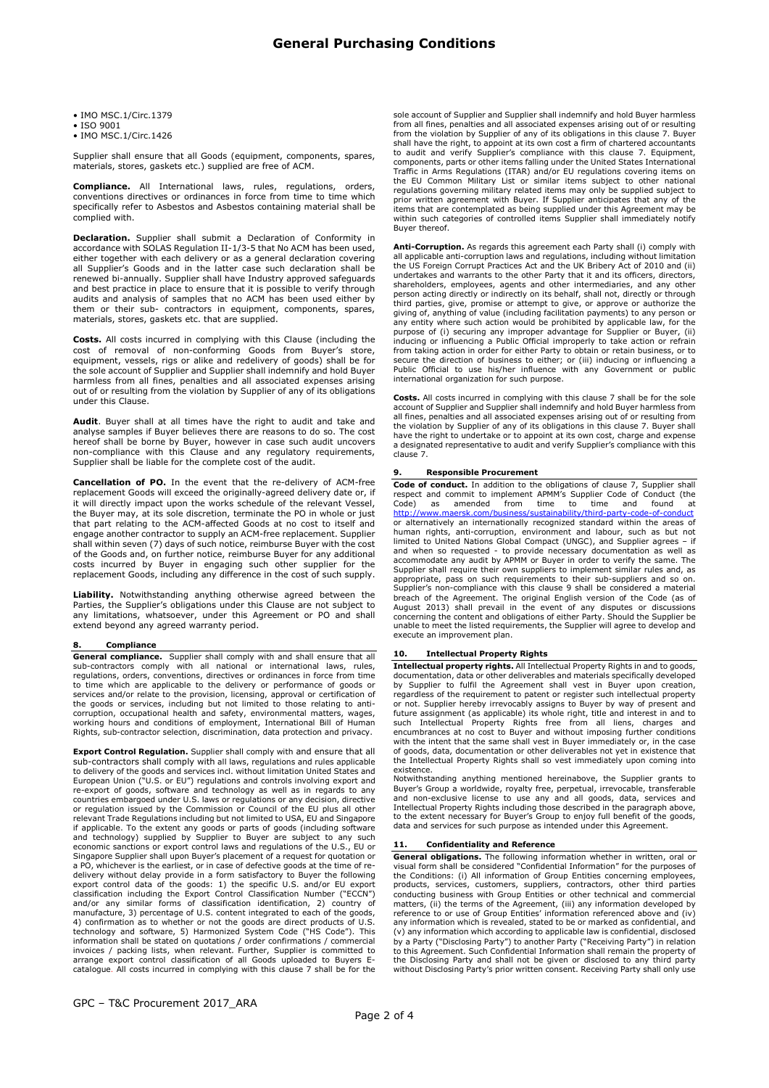• IMO MSC.1/Circ.1379

• ISO 9001

• IMO MSC.1/Circ.1426

Supplier shall ensure that all Goods (equipment, components, spares, materials, stores, gaskets etc.) supplied are free of ACM.

**Compliance.** All International laws, rules, regulations, orders,<br>conventions directives or ordinances in force from time to time which specifically refer to Asbestos and Asbestos containing material shall be complied with.

**Declaration.** Supplier shall submit a Declaration of Conformity in accordance with SOLAS Regulation II-1/3-5 that No ACM has been used, either together with each delivery or as a general declaration covering all Supplier's Goods and in the latter case such declaration shall be renewed bi-annually. Supplier shall have Industry approved safeguards and best practice in place to ensure that it is possible to verify through audits and analysis of samples that no ACM has been used either by them or their sub- contractors in equipment, components, spares, materials, stores, gaskets etc. that are supplied.

Costs. All costs incurred in complying with this Clause (including the cost of removal of non-conforming Goods from Buyer's store, equipment, vessels, rigs or alike and redelivery of goods) shall be for the sole account of Supplier and Supplier shall indemnify and hold Buyer harmless from all fines, penalties and all associated expenses arising out of or resulting from the violation by Supplier of any of its obligations under this Clause.

Audit. Buyer shall at all times have the right to audit and take and analyse samples if Buyer believes there are reasons to do so. The cost hereof shall be borne by Buyer, however in case such audit uncovers non-compliance with this Clause and any regulatory requirements, Supplier shall be liable for the complete cost of the audit.

Cancellation of PO. In the event that the re-delivery of ACM-free replacement Goods will exceed the originally-agreed delivery date or, if it will directly impact upon the works schedule of the relevant Vessel, the Buyer may, at its sole discretion, terminate the PO in whole or just that part relating to the ACM-affected Goods at no cost to itself and engage another contractor to supply an ACM-free replacement. Supplier shall within seven (7) days of such notice, reimburse Buyer with the cost of the Goods and, on further notice, reimburse Buyer for any additional costs incurred by Buyer in engaging such other supplier for the replacement Goods, including any difference in the cost of such supply.

Liability. Notwithstanding anything otherwise agreed between the Parties, the Supplier's obligations under this Clause are not subject to any limitations, whatsoever, under this Agreement or PO and shall extend beyond any agreed warranty period.

# **Compliance**

**General compliance.** Supplier shall comply with and shall ensure that all<br>sub-contractors comply with all national or international laws, rules,<br>regulations, orders, conventions, directives or ordinances in force from tim to time which are applicable to the delivery or performance of goods or services and/or relate to the provision, licensing, approval or certification of the goods or services, including but not limited to those relating to anticorruption, occupational health and safety, environmental matters, wages, working hours and conditions of employment, International Bill of Human Rights, sub-contractor selection, discrimination, data protection and privacy.

**Export Control Regulation.** Supplier shall comply with and ensure that all sub-contractors shall comply with all laws, regulations and rules applicable to delivery of the goods and services incl. without limitation United States and<br>European Union ("U.S. or EU") regulations and controls involving export and<br>re-export of goods, software and technology as well as in regards relevant Trade Regulations including but not limited to USA, EU and Singapore<br>if applicable. To the extent any goods or parts of goods (including software<br>and technology) supplied by Supplier to Buyer are subject to any su a PO, whichever is the earliest, or in case of defective goods at the time of re-<br>delivery without delay provide in a form satisfactory to Buyer the following<br>export control data of the goods: 1) the specific U.S. and/or manufacture, 3) percentage of U.S. content integrated to each of the goods, 4) confirmation as to whether or not the goods are direct products of U.S. technology and software, 5) Harmonized System Code ("HS Code"). This in arrange export control classification of all Goods uploaded to Buyers E-catalogue. All costs incurred in complying with this clause 7 shall be for the

sole account of Supplier and Supplier shall indemnify and hold Buyer harmless from all fines, penalties and all associated expenses arising out of or resulting from the violation by Supplier of any of its obligations in this clause 7. Buyer shall have the right, to appoint at its own cost a firm of chartered accountants<br>to audit and verify Supplier's compliance with this clause 7. Equipment,<br>components, parts or other items falling under the United States Int items that are contemplated as being supplied under this Agreement may be within such categories of controlled items Supplier shall immediately notify Buyer thereof.

Anti-Corruption. As regards this agreement each Party shall (i) comply with all applicable anti-corruption laws and regulations, including without limitation the US Foreign Corrupt Practices Act and the UK Bribery Act of 2010 and (ii) undertakes and warrants to the other Party that it and its officers, directors, shareholders, employees, agents and other intermediaries, and any other person acting directly or indirectly on its behalf, shall not, directly or through third parties, give, promise or attempt to give, or approve or authorize the giving of, anything of value (including facilitation payments) to any person or any entity where such action would be prohibited by applicable la from taking action in order for either Party to obtain or retain business, or to secure the direction of business to either; or (iii) inducing or influencing a Public Official to use his/her influence with any Government or public international organization for such purpose.

Costs. All costs incurred in complying with this clause 7 shall be for the sole account of Supplier and Supplier shall indemnify and hold Buyer harmless from all fines, penalties and all associated expenses arising out of or resulting from the violation by Supplier of any of its obligations in this clause 7. Buyer shall have the right to undertake or to appoint at its own cost, charge and expense a designated representative to audit and verify Supplier's compliance with this clause 7.

### 9. Responsible Procurement

Code of conduct. In addition to the obligations of clause 7, Supplier shall respect and commit to implement APMM's Supplier Code of Conduct (the Code) as amended from time to time and found at http://www.maersk.com/business/sustainability/third-party-code-of-conduct or alternatively an internationally recognized standard within the areas of human rights, anti-corruption, environment and labour, such as but not<br>limited to United Nations Global Compact (UNGC), and Supplier agrees – if<br>and when so requested - to provide necessary documentation as well as<br>accommo Supplier shall require their own suppliers to implement similar rules and, as appropriate, pass on such requirements to their sub-suppliers and so on. Supplier's non-compliance with this clause 9 shall be considered a material breach of the Agreement. The original English version of the Code (as of August 2013) shall prevail in the event of any disputes or discussions concerning the content and obligations of either Party. Should the Supplier be unable to meet the listed requirements, the Supplier will agree to develop and execute an improvement plan.

# 10. Intellectual Property Rights

Intellectual property rights. All Intellectual Property Rights in and to goods, documentation, data or other deliverables and material developed by Supplier to fulfil the Agreement shall vest in Buyer upon creation, regardless of the requirement to patent or register such intellectual property or not. Supplier hereby irrevocably assigns to Buyer by way of present and future assignment (as applicable) its whole right, title and interest in and to<br>such Intellectual Property Rights free from all liens, charges and<br>encumbrances at no cost to Buyer and without imposing further conditions<br>wi of goods, data, documentation or other deliverables not yet in existence that the Intellectual Property Rights shall so vest immediately upon coming into existence.

Notwithstanding anything mentioned hereinabove, the Supplier grants to Buyer's Group a worldwide, royalty free, perpetual, irrevocable, transferable and non-exclusive license to use any and all goods, data, services and In data and services for such purpose as intended under this Agreement.

## **Confidentiality and Reference**

General obligations. The following information whether in written, oral or visual form shall be considered "Confidential Information" for the purposes of the Conditions: (i) All information of Group Entities concerning employees, products, services, customers, suppliers, contractors, other third parties conducting business with Group Entities or other technical and commerci reference to or use of Group Entities' information referenced above and (iv) any information which is revealed, stated to be or marked as confidential, and (v) any information which according to applicable law is confidential, disclosed by a Party ("Disclosing Party") to another Party ("Receiving Party") in relation to this Agreement. Such Confidential Information shall remain the property of the Disclosing Party and shall not be given or disclosed to any third party without Disclosing Party's prior written consent. Receiving Party shall only use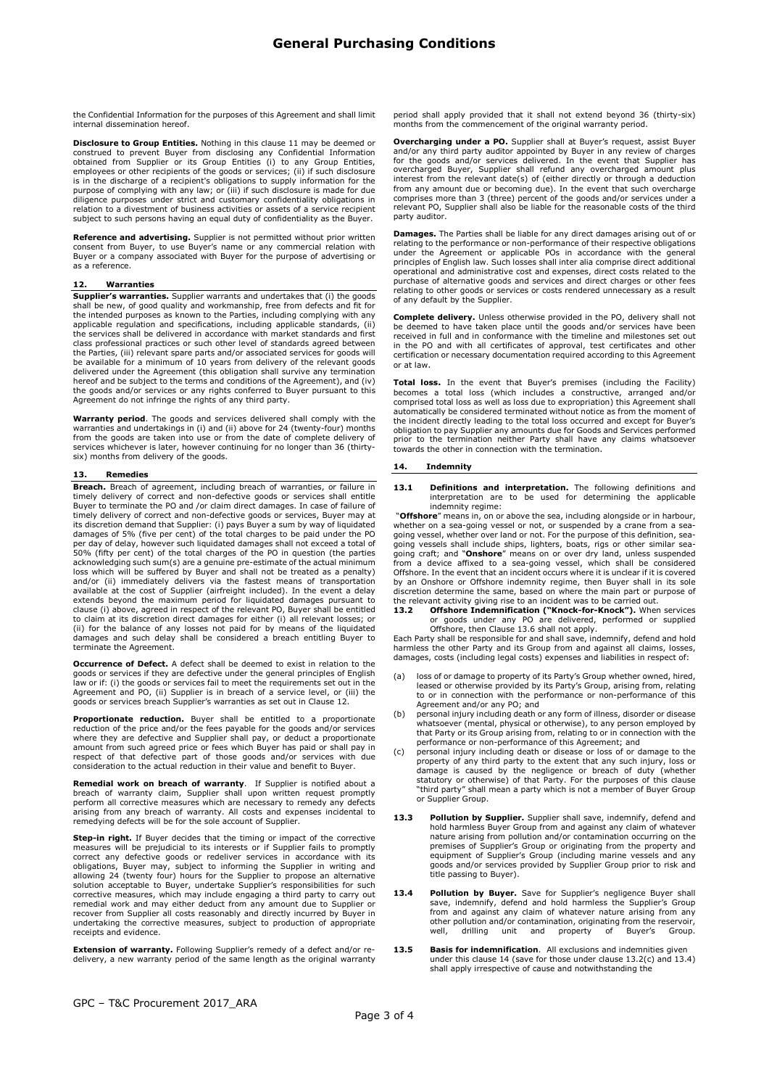the Confidential Information for the purposes of this Agreement and shall limit internal dissemination hereof.

**Disclosure to Group Entities.** Nothing in this clause 11 may be deemed or construed to prevent Buyer from disclosing any Confidential Information obtained from Supplier or its Group Entities, obtained from Supplier or its is in the discharge of a recipient's obligations to supply information for the<br>purpose of complying with any law; or (iii) if such disclosure is made for due<br>diligence purposes under strict and customary confidentiality ob relation to a divestment of business activities or assets of a service recipient subject to such persons having an equal duty of confidentiality as the Buyer.

**Reference and advertising.** Supplier is not permitted without prior written<br>consent from Buyer, to use Buyer's name or any commercial relation with<br>Buyer or a company associated with Buyer for the purpose of advertising o as a reference.

#### Warranties

Supplier's warranties. Supplier warrants and undertakes that (i) the goods shall be new, of good quality and workmanship, free from defects and fit for the intended purposes as known to the Parties, including complying with any applicable regulation and specifications, including applicable standards, (ii) the services shall be delivered in accordance with market standards and first class professional practices or such other level of standards agreed between the Parties, (iii) relevant spare parts and/or associated services for goods will be available for a minimum of 10 years from delivery of the relevant goods delivered under the Agreement (this obligation shall survive any termination hereof and be subject to the terms and conditions of the Agreement), and (iv) the goods and/or services or any rights conferred to Buyer pursuant to this Agreement do not infringe the rights of any third party.

Warranty period. The goods and services delivered shall comply with the warranties and undertakings in (i) and (ii) above for 24 (twenty-four) months from the goods are taken into use or from the date of complete delivery of services whichever is later, however continuing for no longer than 36 (thirtysix) months from delivery of the goods.

#### 13. Remedies

**Breach.** Breach of agreement, including breach of warranties, or failure in<br>timely delivery of correct and non-defective goods or services shall entitle<br>Buyer to terminate the PO and /or claim direct damages. In case of f timely delivery of correct and non-defective goods or services, Buyer may at its discretion demand that Supplier: (i) pays Buyer a sum by way of liquidated damages of 5% (five per cent) of the total charges to be paid under the PO per day of delay, however such liquidated damages shall not exceed a total of 50% (fifty per cent) of the total charges of the PO in question (the parties acknowledging such sum(s) are a genuine pre-estimate of the actual minimum loss which will be suffered by Buyer and shall not be treated as a penalty) and/or (ii) immediately delivers via the fastest means of transportation available at the cost of Supplier (airfreight included). In the event a d to claim at its discretion direct damages for either (i) all relevant losses; or (ii) for the balance of any losses not paid for by means of the liquidated damages and such delay shall be considered a breach entitling Buyer to terminate the Agreement.

Occurrence of Defect. A defect shall be deemed to exist in relation to the goods or services if they are defective under the general principles of English law or if: (i) the goods or services fail to meet the requirements set out in the Agreement and PO, (ii) Supplier is in breach of a service level, or (iii) the goods or services breach Supplier's warranties as set out in Clause 12.

**Proportionate reduction.** Buyer shall be entitled to a proportionate reduction of the price and/or the fees payable for the goods and/or services where they are defective and Supplier shall pay, or deduct a proportionate amount from such agreed price or fees which Buyer has paid or shall pay in respect of that defective part of those goods and/or services with due consideration to the actual reduction in their value and benefit to Buyer.

**Remedial work on breach of warranty**. If Supplier is notified about a<br>breach of warranty claim, Supplier shall upon written request promptly<br>perform all corrective measures which are necessary to remedy any defects arising from any breach of warranty. All costs and expenses incidental to remedying defects will be for the sole account of Supplier.

Step-in right. If Buyer decides that the timing or impact of the corrective measures will be prejudicial to its interests or if Supplier fails to promptly correct any defective goods or redeliver services in accordance with its obligations, Buyer may, subject to informing the Supplier in writing and allowing 24 (twenty four) hours for the Supplier to propose an alternative solution acceptable to Buyer, undertake Supplier's responsibilities for such corrective measures, which may include engaging a third party to carry out remedial work and may either deduct from any amount due to Supplier or recover from Supplier all costs reasonably and directly incurred by Buyer in undertaking the corrective measures, subject to production of appropriate receipts and evidence.

Extension of warranty. Following Supplier's remedy of a defect and/or redelivery, a new warranty period of the same length as the original warranty period shall apply provided that it shall not extend beyond 36 (thirty-six) months from the commencement of the original warranty period.

**Overcharging under a PO.** Supplier shall at Buyer's request, assist Buyer and/or any third party auditor appointed by Buyer in any review of charges for the goods and/or services delivered. In the event that Supplier has party auditor.

Damages. The Parties shall be liable for any direct damages arising out of or relating to the performance or non-performance of their respective obligations under the Agreement or applicable POs in accordance with the general<br>principles of English law. Such losses shall inter alia comprise direct additional<br>operational and administrative cost and expenses, direct costs related purchase of alternative goods and services and direct charges or other fees relating to other goods or services or costs rendered unnecessary as a result of any default by the Supplier.

**Complete delivery.** Unless otherwise provided in the PO, delivery shall not be deemed to have taken place until the goods and/or services have been received in full and in conformance with the timeline and milestones set out in the PO and with all certificates of approval, test certificates and other certification or necessary documentation required according to this Agreement or at law.

Total loss. In the event that Buyer's premises (including the Facility) becomes a total loss (which includes a constructive, arranged and/or comprised total loss as well as loss due to expropriation) this Agreement shall automatically be considered terminated without notice as from the moment of the incident directly leading to the total loss occurred and except for Buyer's obligation to pay Supplier any amounts due for Goods and Services performed prior to the termination neither Party shall have any claims whatsoever towards the other in connection with the termination.

#### 14. Indemnity

13.1 Definitions and interpretation. The following definitions and interpretation are to be used for determining the applicable indemnity regime:

"Offshore" means in, on or above the sea, including alongside or in harbour, whether on a sea-going vessel or not, or suspended by a crane from a sea-<br>going vessel, whether over land or not. For the purpose of this definition, sea-<br>going vessels shall include ships, lighters, boats, rigs or other s going craft; and "Onshore" means on or over dry land, unless suspended from a device affixed to a sea-going vessel, which shall be considered Offshore. In the event that an incident occurs where it is unclear if it is covered by an Onshore or Offshore indemnity regime, then Buyer shall in its sole discretion determine the same, based on where the main part or purpose of

the relevant activity giving rise to an incident was to be carried out.<br> **13.2 Offshore Indemnification ("Knock-for-Knock").** When services<br>
or goods under any PO are delivered, performed or supplied<br>
Offshore, then Clause

harmless the other Party and its Group from and against all claims, losses, damages, costs (including legal costs) expenses and liabilities in respect of:

- (a) loss of or damage to property of its Party's Group whether owned, hired, leased or otherwise provided by its Party's Group, arising from, relating to or in connection with the performance or non-performance of this
- Agreement and/or any PO; and (b) personal injury including death or any form of illness, disorder or disease whatsoever (mental, physical or otherwise), to any person employed by<br>that Party or its Group arising from, relating to or in connection with the<br>performance or non-performance of this Agreement; and<br>(c) personal injury in
- property of any third party to the extent that any such injury, loss or damage is caused by the negligence or breach of duty (whether<br>statutory or otherwise) of that Party. For the purposes of this clause<br>"third party" shall mean a party which is not a member of Buyer Group **or Supplier Group.**
- **13.3 Pollution by Supplier.** Supplier shall save, indemnify, defend and hold harmless Buyer Group from and against any claim of whatever nature arising from pollution and/or contamination occurring on the premises of Supplier's Group or originating from the property and equipment of Supplier's Group (including marine vessels and any goods and/or services provided by Supplier Group prior to risk and title passing to Buyer).
- 13.4 Pollution by Buyer. Save for Supplier's negligence Buyer shall save, indemnify, defend and hold harmless the Supplier's Group from and against any claim of whatever nature arising from any other pollution and/or contamination, originating from the reservoir, well, drilling unit and property of Buyer's Group.
- 13.5 Basis for indemnification. All exclusions and indemnities given under this clause 14 (save for those under clause 13.2(c) and 13.4) shall apply irrespective of cause and notwithstanding the